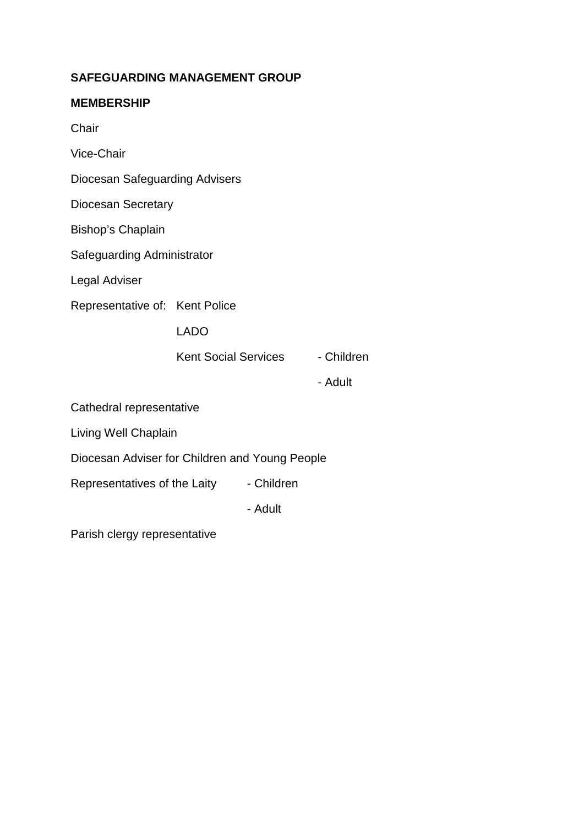# **SAFEGUARDING MANAGEMENT GROUP**

## **MEMBERSHIP**

**Chair** 

Vice-Chair

Diocesan Safeguarding Advisers

Diocesan Secretary

Bishop's Chaplain

Safeguarding Administrator

Legal Adviser

Representative of: Kent Police

LADO

Kent Social Services - Children

- Adult

Cathedral representative

Living Well Chaplain

Diocesan Adviser for Children and Young People

Representatives of the Laity - Children

- Adult

Parish clergy representative